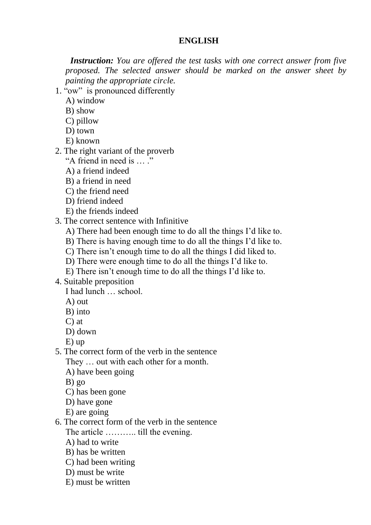#### **ENGLISH**

 *Instruction: You are offered the test tasks with one correct answer from five proposed. The selected answer should be marked on the answer sheet by painting the appropriate cirсle.*

- 1. "ow" is pronounced differently
	- A) window
	- B) show
	- C) pillow
	- D) town
	- E) known
- 2. The right variant of the proverb
	- "A friend in need is … ."
	- A) a friend indeed
	- B) a friend in need
	- C) the friend need
	- D) friend indeed
	- E) the friends indeed
- 3. The correct sentence with Infinitive
	- A) There had been enough time to do all the things I'd like to.
	- B) There is having enough time to do all the things I'd like to.
	- C) There isn't enough time to do all the things I did liked to.
	- D) There were enough time to do all the things I'd like to.
	- E) There isn't enough time to do all the things I'd like to.
- 4. Suitable preposition

I had lunch … school.

- A) out
- B) into
- C) at
- D) down
- E) up
- 5. The correct form of the verb in the sentence They … out with each other for a month.
	- A) have been going
	- B) go
	- C) has been gone
	- D) have gone
	- E) are going
- 6. The correct form of the verb in the sentence The article ……….. till the evening.
	- A) had to write
	- B) has be written
	- C) had been writing
	- D) must be write
	- E) must be written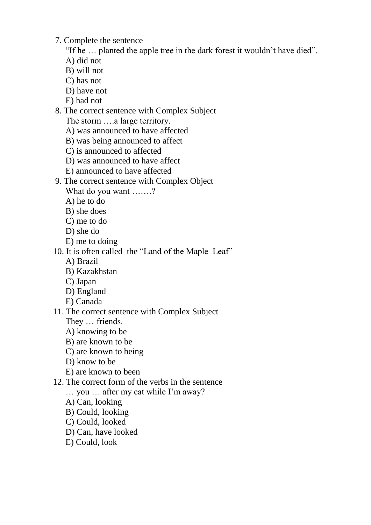7. Complete the sentence

"If he … planted the apple tree in the dark forest it wouldn't have died".

A) did not

- B) will not
- C) has not
- D) have not
- E) had not

### 8. The correct sentence with Complex Subject

The storm ….a large territory.

- A) was announced to have affected
- B) was being announced to affect
- C) is announced to affected
- D) was announced to have affect
- E) announced to have affected

## 9. The correct sentence with Complex Object

What do you want …….?

A) he to do

- B) she does
- C) me to do
- D) she do
- E) me to doing

## 10. It is often called the "Land of the Maple Leaf"

- A) Brazil
- B) Kazakhstan
- C) Japan
- D) England
- E) Canada

# 11. The correct sentence with Complex Subject

- They … friends.
- A) knowing to be
- B) are known to be
- C) are known to being
- D) know to be
- E) are known to been

### 12. The correct form of the verbs in the sentence

… you … after my cat while I'm away?

- A) Can, looking
- B) Could, looking
- C) Could, looked
- D) Can, have looked
- E) Could, look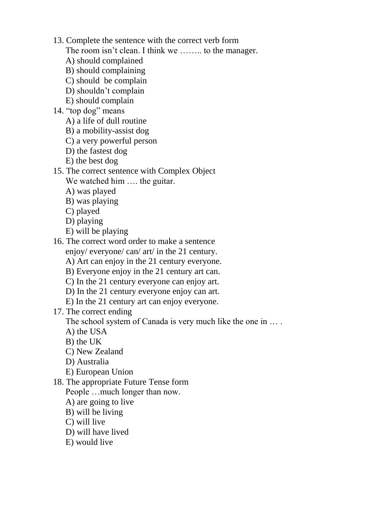- 13. Complete the sentence with the correct verb form
	- The room isn't clean. I think we ........ to the manager.
	- A) should complained
	- B) should complaining
	- C) should be complain
	- D) shouldn't complain
	- E) should complain
- 14. "top dog" means
	- A) a life of dull routine
	- B) a mobility-assist dog
	- C) a very powerful person
	- D) the fastest dog
	- E) the best dog
- 15. The correct sentence with Complex Object
	- We watched him .... the guitar.
	- A) was played
	- B) was playing
	- C) played
	- D) playing
	- E) will be playing
- 16. The correct word order to make a sentence
	- enjoy/ everyone/ can/ art/ in the 21 century.
	- A) Art can enjoy in the 21 century everyone.
	- B) Everyone enjoy in the 21 century art can.
	- C) In the 21 century everyone can enjoy art.
	- D) In the 21 century everyone enjoy can art.
	- E) In the 21 century art can enjoy everyone.
- 17. The correct ending

The school system of Canada is very much like the one in  $\dots$ .

- A) the USA
- B) the UK
- C) New Zealand
- D) Australia
- E) European Union
- 18. The appropriate Future Tense form
	- People …much longer than now.
	- A) are going to live
	- B) will be living
	- C) will live
	- D) will have lived
	- E) would live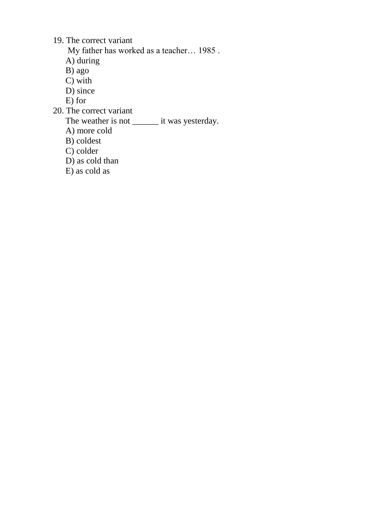19. The correct variant

My father has worked as a teacher… 1985 .

A) during

B) ago

- C) with
- D) since
- E) for
- 20. The correct variant

The veather is not \_\_\_\_\_\_\_\_ it was yesterday.

- A) more cold
- B) coldest
- C) colder
- D) as cold than
- E) as cold as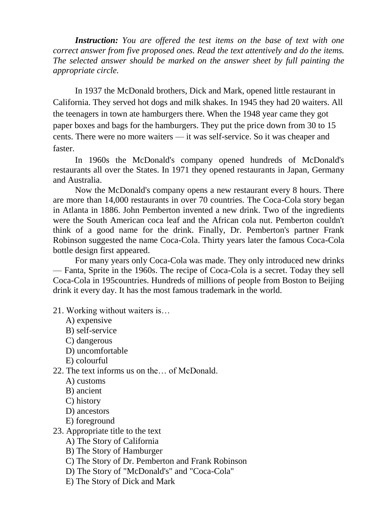*Instruction: You are offered the test items on the base of text with one correct answer from five proposed ones. Read the text attentively and do the items. The selected answer should be marked on the answer sheet by full painting the appropriate circle.*

In 1937 the McDonald brothers, Dick and Mark, opened little restaurant in California. They served hot dogs and milk shakes. In 1945 they had 20 waiters. All the teenagers in town ate hamburgers there. When the 1948 year came they got paper boxes and bags for the hamburgers. They put the price down from 30 to 15 cents. There were no more waiters — it was self-service. So it was cheaper and faster.

In 1960s the McDonald's company opened hundreds of McDonald's restaurants all over the States. In 1971 they opened restaurants in Japan, Germany and Australia.

Now the McDonald's company opens a new restaurant every 8 hours. There are more than 14,000 restaurants in over 70 countries. The Coca-Cola story began in Atlanta in 1886. John Pemberton invented a new drink. Two of the ingredients were the South American coca leaf and the African cola nut. Pemberton couldn't think of a good name for the drink. Finally, Dr. Pemberton's partner Frank Robinson suggested the name Coca-Cola. Thirty years later the famous Coca-Cola bottle design first appeared.

For many years only Coca-Cola was made. They only introduced new drinks — Fanta, Sprite in the 1960s. The recipe of Coca-Cola is a secret. Today they sell Coca-Cola in 195countries. Hundreds of millions of people from Boston to Beijing drink it every day. It has the most famous trademark in the world.

- 21. Working without waiters is…
	- A) expensive
	- B) self-service
	- C) dangerous
	- D) uncomfortable
	- E) colourful

22. The text informs us on the… of McDonald.

- A) customs
- B) ancient
- C) history
- D) ancestors
- E) foreground
- 23. Appropriate title to the text
	- A) The Story of California
	- B) The Story of Hamburger
	- C) The Story of Dr. Pemberton and Frank Robinson
	- D) The Story of "McDonald's" and "Coca-Cola"
	- E) The Story of Dick and Mark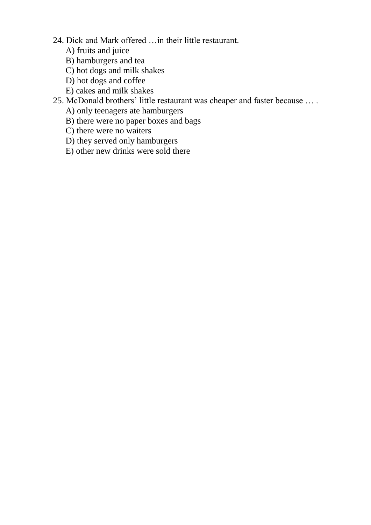- 24. Dick and Mark offered …in their little restaurant.
	- A) fruits and juice
	- B) hamburgers and tea
	- C) hot dogs and milk shakes
	- D) hot dogs and coffee
	- E) cakes and milk shakes
- 25. McDonald brothers' little restaurant was cheaper and faster because … .
	- A) only teenagers ate hamburgers
	- B) there were no paper boxes and bags
	- C) there were no waiters
	- D) they served only hamburgers
	- E) other new drinks were sold there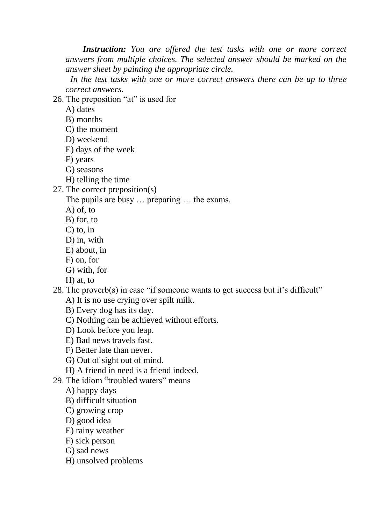*Instruction: You are offered the test tasks with one or more correct answers from multiple choices. The selected answer should be marked on the answer sheet by painting the appropriate circle.*

 *In the test tasks with one or more correct answers there can be up to threе correct answers.*

26. The preposition "at" is used for

- B) months
- C) the moment
- D) weekend
- E) days of the week
- F) years
- G) seasons
- H) telling the time
- 27. The сorrect preposition(s)

The pupils are busy … preparing … the exams.

- A) of, to
- B) for, to
- C) to, in
- D) in, with
- E) about, in
- F) on, for
- G) with, for
- H) at, to

28. The proverb(s) in case "if someone wants to get success but it's difficult"

- A) It is no use crying over spilt milk.
- B) Every dog has its day.
- C) Nothing can be achieved without efforts.
- D) Look before you leap.
- E) Bad news travels fast.
- F) Better late than never.
- G) Out of sight out of mind.
- H) A friend in need is a friend indeed.
- 29. The idiom "troubled waters" means
	- A) happy days
	- B) difficult situation
	- C) growing crop
	- D) good idea
	- E) rainy weather
	- F) sick person
	- G) sad news
	- H) unsolved problems

A) dates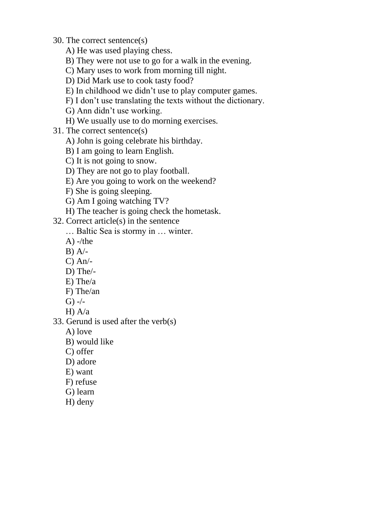- 30. The correct sentence(s)
	- A) He was used playing chess.
	- B) They were not use to go for a walk in the evening.
	- C) Mary uses to work from morning till night.
	- D) Did Mark use to cook tasty food?
	- E) In childhood we didn't use to play computer games.
	- F) I don't use translating the texts without the dictionary.
	- G) Ann didn't use working.
	- H) We usually use to do morning exercises.
- 31. The correct sentence(s)
	- A) John is going celebrate his birthday.
	- B) I am going to learn English.
	- C) It is not going to snow.
	- D) They are not go to play football.
	- E) Are you going to work on the weekend?
	- F) She is going sleeping.
	- G) Am I going watching TV?
	- H) The teacher is going check the hometask.
- 32. Correct article(s) in the sentence
	- … Baltic Sea is stormy in … winter.
	- $A)$  -/the
	- $B)$  A/-
	- C) An/-
	- D) The/-
	- E) The/a
	- F) The/an
	- $G)$  -/-
	- H) A/a
- 33. Gerund is used after the verb(s)
	- A) love
	- B) would like
	- C) offer
	- D) adore
	- E) want
	- F) refuse
	- G) learn
	- H) deny